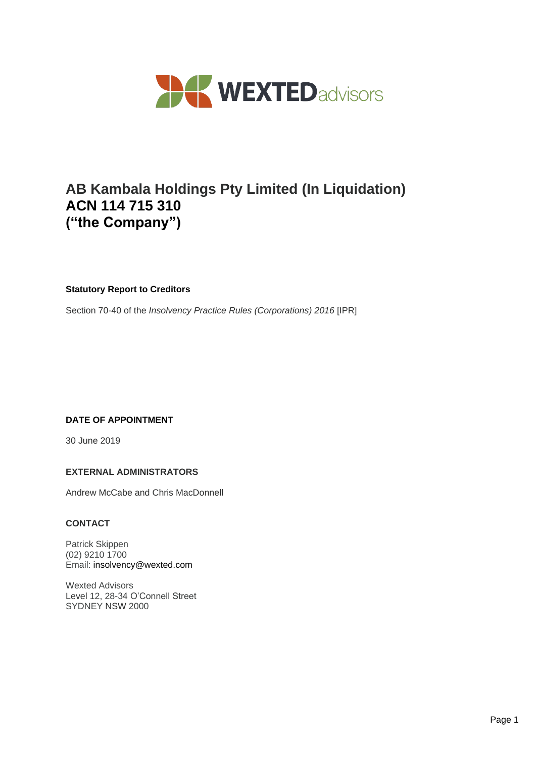

# **AB Kambala Holdings Pty Limited (In Liquidation) ACN 114 715 310 ("the Company")**

# **Statutory Report to Creditors**

Section 70-40 of the *Insolvency Practice Rules (Corporations) 2016* [IPR]

# **DATE OF APPOINTMENT**

30 June 2019

#### **EXTERNAL ADMINISTRATORS**

Andrew McCabe and Chris MacDonnell

#### **CONTACT**

Patrick Skippen (02) 9210 1700 Email: insolvency@wexted.com

Wexted Advisors Level 12, 28-34 O'Connell Street SYDNEY NSW 2000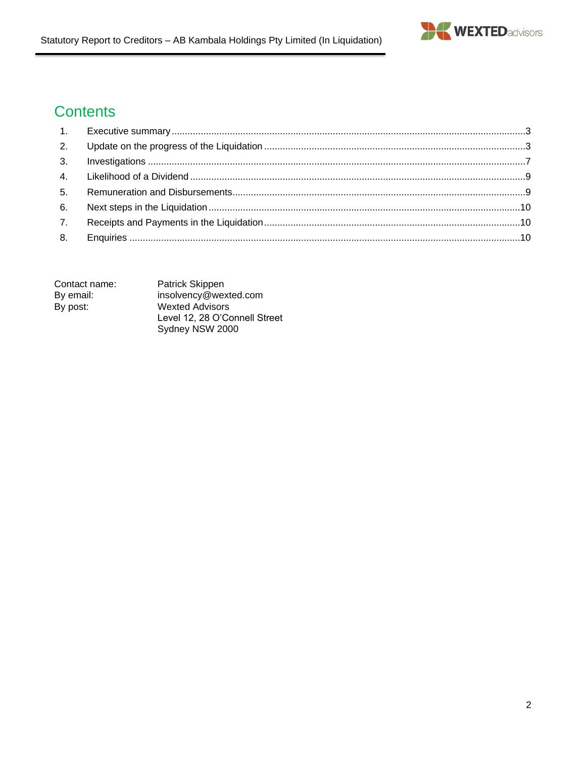

# **Contents**

| 5.               |  |
|------------------|--|
| 6.               |  |
| $\overline{7}$ . |  |
|                  |  |

| Contact name: | Patrick Skippen               |
|---------------|-------------------------------|
| By email:     | insolvency@wexted.com         |
| By post:      | <b>Wexted Advisors</b>        |
|               | Level 12, 28 O'Connell Street |
|               | Sydney NSW 2000               |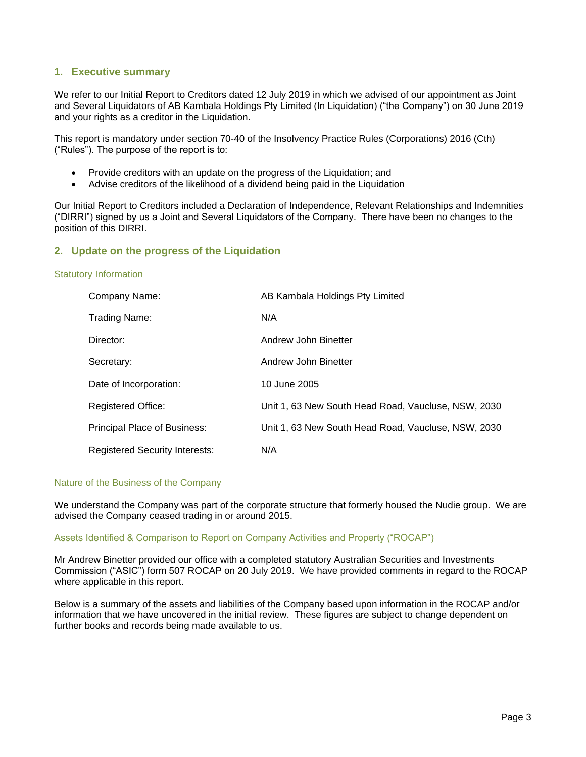# <span id="page-2-0"></span>**1. Executive summary**

We refer to our Initial Report to Creditors dated 12 July 2019 in which we advised of our appointment as Joint and Several Liquidators of AB Kambala Holdings Pty Limited (In Liquidation) ("the Company") on 30 June 2019 and your rights as a creditor in the Liquidation.

This report is mandatory under section 70-40 of the Insolvency Practice Rules (Corporations) 2016 (Cth) ("Rules"). The purpose of the report is to:

- Provide creditors with an update on the progress of the Liquidation; and
- Advise creditors of the likelihood of a dividend being paid in the Liquidation

Our Initial Report to Creditors included a Declaration of Independence, Relevant Relationships and Indemnities ("DIRRI") signed by us a Joint and Several Liquidators of the Company. There have been no changes to the position of this DIRRI.

#### <span id="page-2-1"></span>**2. Update on the progress of the Liquidation**

#### Statutory Information

| Company Name:                         | AB Kambala Holdings Pty Limited                     |
|---------------------------------------|-----------------------------------------------------|
| Trading Name:                         | N/A                                                 |
| Director:                             | Andrew John Binetter                                |
| Secretary:                            | Andrew John Binetter                                |
| Date of Incorporation:                | 10 June 2005                                        |
| <b>Registered Office:</b>             | Unit 1, 63 New South Head Road, Vaucluse, NSW, 2030 |
| <b>Principal Place of Business:</b>   | Unit 1, 63 New South Head Road, Vaucluse, NSW, 2030 |
| <b>Registered Security Interests:</b> | N/A                                                 |

#### Nature of the Business of the Company

We understand the Company was part of the corporate structure that formerly housed the Nudie group. We are advised the Company ceased trading in or around 2015.

#### Assets Identified & Comparison to Report on Company Activities and Property ("ROCAP")

Mr Andrew Binetter provided our office with a completed statutory Australian Securities and Investments Commission ("ASIC") form 507 ROCAP on 20 July 2019. We have provided comments in regard to the ROCAP where applicable in this report.

Below is a summary of the assets and liabilities of the Company based upon information in the ROCAP and/or information that we have uncovered in the initial review. These figures are subject to change dependent on further books and records being made available to us.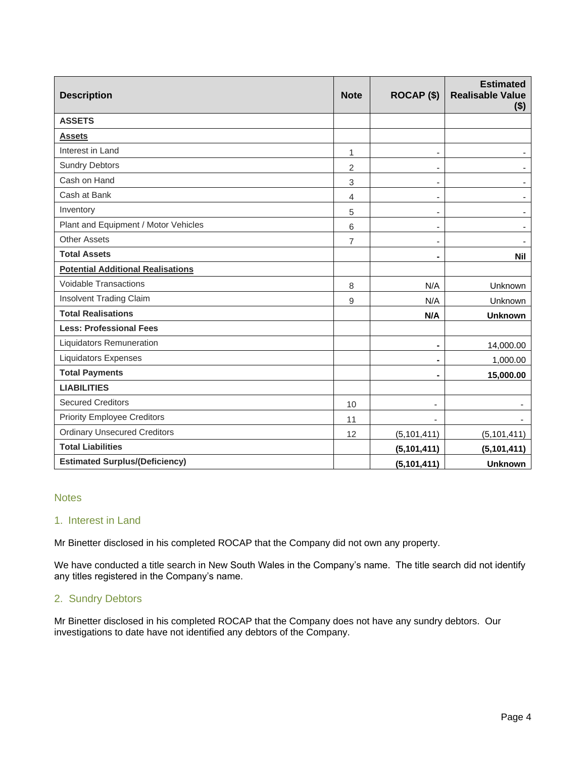| <b>Description</b>                       | <b>Note</b>    | ROCAP <sub>(\$)</sub>        | <b>Estimated</b><br><b>Realisable Value</b><br>$($ \$) |
|------------------------------------------|----------------|------------------------------|--------------------------------------------------------|
| <b>ASSETS</b>                            |                |                              |                                                        |
| <b>Assets</b>                            |                |                              |                                                        |
| Interest in Land                         | 1              | $\overline{\phantom{0}}$     |                                                        |
| <b>Sundry Debtors</b>                    | $\overline{2}$ | $\qquad \qquad \blacksquare$ |                                                        |
| Cash on Hand                             | 3              | $\qquad \qquad \blacksquare$ |                                                        |
| Cash at Bank                             | 4              | ٠                            |                                                        |
| Inventory                                | 5              | $\overline{\phantom{a}}$     | $\blacksquare$                                         |
| Plant and Equipment / Motor Vehicles     | 6              | $\blacksquare$               |                                                        |
| <b>Other Assets</b>                      | $\overline{7}$ | $\overline{\phantom{a}}$     |                                                        |
| <b>Total Assets</b>                      |                | $\blacksquare$               | <b>Nil</b>                                             |
| <b>Potential Additional Realisations</b> |                |                              |                                                        |
| <b>Voidable Transactions</b>             | 8              | N/A                          | Unknown                                                |
| Insolvent Trading Claim                  | 9              | N/A                          | Unknown                                                |
| <b>Total Realisations</b>                |                | N/A                          | <b>Unknown</b>                                         |
| <b>Less: Professional Fees</b>           |                |                              |                                                        |
| Liquidators Remuneration                 |                | $\blacksquare$               | 14,000.00                                              |
| <b>Liquidators Expenses</b>              |                |                              | 1,000.00                                               |
| <b>Total Payments</b>                    |                |                              | 15,000.00                                              |
| <b>LIABILITIES</b>                       |                |                              |                                                        |
| <b>Secured Creditors</b>                 | 10             |                              |                                                        |
| <b>Priority Employee Creditors</b>       | 11             |                              |                                                        |
| <b>Ordinary Unsecured Creditors</b>      | 12             | (5, 101, 411)                | (5, 101, 411)                                          |
| <b>Total Liabilities</b>                 |                | (5, 101, 411)                | (5, 101, 411)                                          |
| <b>Estimated Surplus/(Deficiency)</b>    |                | (5, 101, 411)                | <b>Unknown</b>                                         |

#### **Notes**

#### 1.Interest in Land

Mr Binetter disclosed in his completed ROCAP that the Company did not own any property.

We have conducted a title search in New South Wales in the Company's name. The title search did not identify any titles registered in the Company's name.

#### 2. Sundry Debtors

Mr Binetter disclosed in his completed ROCAP that the Company does not have any sundry debtors. Our investigations to date have not identified any debtors of the Company.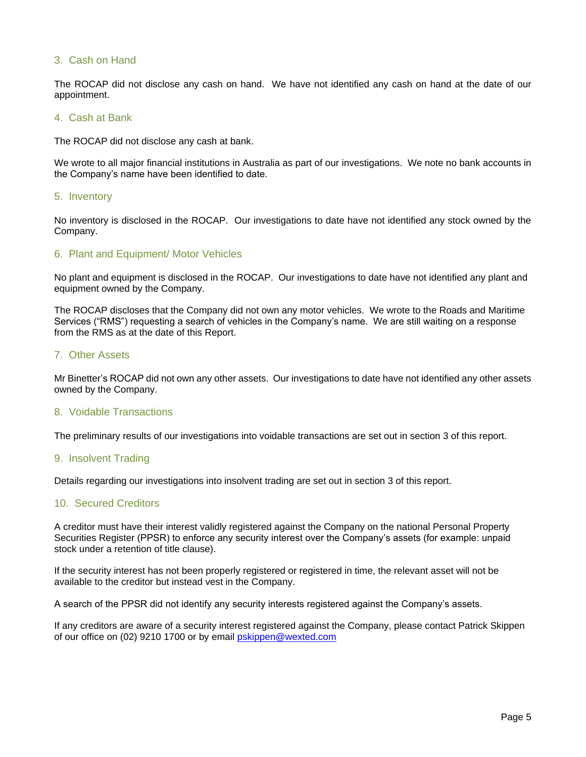#### 3. Cash on Hand

The ROCAP did not disclose any cash on hand. We have not identified any cash on hand at the date of our appointment.

#### 4. Cash at Bank

The ROCAP did not disclose any cash at bank.

We wrote to all major financial institutions in Australia as part of our investigations. We note no bank accounts in the Company's name have been identified to date.

#### 5. Inventory

No inventory is disclosed in the ROCAP. Our investigations to date have not identified any stock owned by the Company.

#### 6. Plant and Equipment/ Motor Vehicles

No plant and equipment is disclosed in the ROCAP. Our investigations to date have not identified any plant and equipment owned by the Company.

The ROCAP discloses that the Company did not own any motor vehicles. We wrote to the Roads and Maritime Services ("RMS") requesting a search of vehicles in the Company's name. We are still waiting on a response from the RMS as at the date of this Report.

#### 7. Other Assets

Mr Binetter's ROCAP did not own any other assets. Our investigations to date have not identified any other assets owned by the Company.

#### 8. Voidable Transactions

The preliminary results of our investigations into voidable transactions are set out in section 3 of this report.

#### 9. Insolvent Trading

Details regarding our investigations into insolvent trading are set out in section 3 of this report.

#### 10. Secured Creditors

A creditor must have their interest validly registered against the Company on the national Personal Property Securities Register (PPSR) to enforce any security interest over the Company's assets (for example: unpaid stock under a retention of title clause).

If the security interest has not been properly registered or registered in time, the relevant asset will not be available to the creditor but instead vest in the Company.

A search of the PPSR did not identify any security interests registered against the Company's assets.

If any creditors are aware of a security interest registered against the Company, please contact Patrick Skippen of our office on (02) 9210 1700 or by email [pskippen@wexted.com](mailto:pskippen@wexted.com)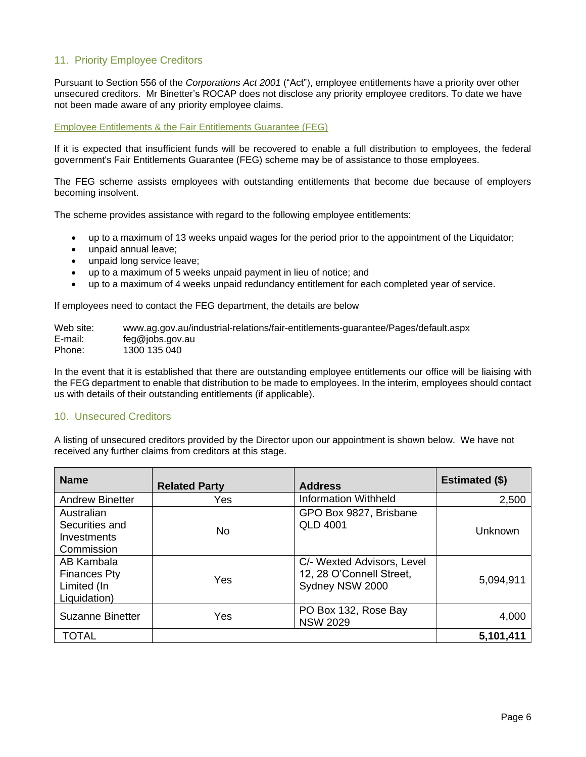# 11. Priority Employee Creditors

Pursuant to Section 556 of the *Corporations Act 2001* ("Act"), employee entitlements have a priority over other unsecured creditors. Mr Binetter's ROCAP does not disclose any priority employee creditors. To date we have not been made aware of any priority employee claims.

#### Employee Entitlements & the Fair Entitlements Guarantee (FEG)

If it is expected that insufficient funds will be recovered to enable a full distribution to employees, the federal government's Fair Entitlements Guarantee (FEG) scheme may be of assistance to those employees.

The FEG scheme assists employees with outstanding entitlements that become due because of employers becoming insolvent.

The scheme provides assistance with regard to the following employee entitlements:

- up to a maximum of 13 weeks unpaid wages for the period prior to the appointment of the Liquidator;
- unpaid annual leave;
- unpaid long service leave;
- up to a maximum of 5 weeks unpaid payment in lieu of notice; and
- up to a maximum of 4 weeks unpaid redundancy entitlement for each completed year of service.

If employees need to contact the FEG department, the details are below

Web site: www.ag.gov.au/industrial-relations/fair-entitlements-guarantee/Pages/default.aspx E-mail: feg@jobs.gov.au Phone: 1300 135 040

In the event that it is established that there are outstanding employee entitlements our office will be liaising with the FEG department to enable that distribution to be made to employees. In the interim, employees should contact us with details of their outstanding entitlements (if applicable).

#### 10. Unsecured Creditors

A listing of unsecured creditors provided by the Director upon our appointment is shown below. We have not received any further claims from creditors at this stage.

| <b>Name</b>                                                      | <b>Related Party</b> | <b>Address</b>                                                            | Estimated (\$) |
|------------------------------------------------------------------|----------------------|---------------------------------------------------------------------------|----------------|
| <b>Andrew Binetter</b>                                           | Yes                  | <b>Information Withheld</b>                                               | 2,500          |
| Australian<br>Securities and<br>Investments<br>Commission        | No.                  | GPO Box 9827, Brisbane<br><b>QLD 4001</b>                                 | Unknown        |
| AB Kambala<br><b>Finances Pty</b><br>Limited (In<br>Liquidation) | Yes                  | C/- Wexted Advisors, Level<br>12, 28 O'Connell Street,<br>Sydney NSW 2000 | 5,094,911      |
| Suzanne Binetter                                                 | Yes                  | PO Box 132, Rose Bay<br><b>NSW 2029</b>                                   | 4,000          |
| TOTAL                                                            |                      |                                                                           | 5,101,411      |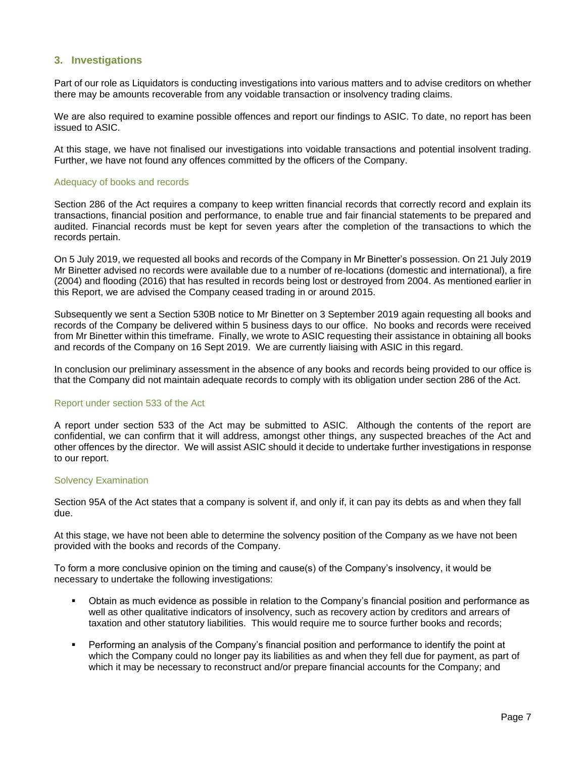#### <span id="page-6-0"></span>**3. Investigations**

Part of our role as Liquidators is conducting investigations into various matters and to advise creditors on whether there may be amounts recoverable from any voidable transaction or insolvency trading claims.

We are also required to examine possible offences and report our findings to ASIC. To date, no report has been issued to ASIC.

At this stage, we have not finalised our investigations into voidable transactions and potential insolvent trading. Further, we have not found any offences committed by the officers of the Company.

#### Adequacy of books and records

Section 286 of the Act requires a company to keep written financial records that correctly record and explain its transactions, financial position and performance, to enable true and fair financial statements to be prepared and audited. Financial records must be kept for seven years after the completion of the transactions to which the records pertain.

On 5 July 2019, we requested all books and records of the Company in Mr Binetter's possession. On 21 July 2019 Mr Binetter advised no records were available due to a number of re-locations (domestic and international), a fire (2004) and flooding (2016) that has resulted in records being lost or destroyed from 2004. As mentioned earlier in this Report, we are advised the Company ceased trading in or around 2015.

Subsequently we sent a Section 530B notice to Mr Binetter on 3 September 2019 again requesting all books and records of the Company be delivered within 5 business days to our office. No books and records were received from Mr Binetter within this timeframe. Finally, we wrote to ASIC requesting their assistance in obtaining all books and records of the Company on 16 Sept 2019. We are currently liaising with ASIC in this regard.

In conclusion our preliminary assessment in the absence of any books and records being provided to our office is that the Company did not maintain adequate records to comply with its obligation under section 286 of the Act.

#### Report under section 533 of the Act

A report under section 533 of the Act may be submitted to ASIC. Although the contents of the report are confidential, we can confirm that it will address, amongst other things, any suspected breaches of the Act and other offences by the director. We will assist ASIC should it decide to undertake further investigations in response to our report.

#### Solvency Examination

Section 95A of the Act states that a company is solvent if, and only if, it can pay its debts as and when they fall due.

At this stage, we have not been able to determine the solvency position of the Company as we have not been provided with the books and records of the Company.

To form a more conclusive opinion on the timing and cause(s) of the Company's insolvency, it would be necessary to undertake the following investigations:

- Obtain as much evidence as possible in relation to the Company's financial position and performance as well as other qualitative indicators of insolvency, such as recovery action by creditors and arrears of taxation and other statutory liabilities. This would require me to source further books and records;
- Performing an analysis of the Company's financial position and performance to identify the point at which the Company could no longer pay its liabilities as and when they fell due for payment, as part of which it may be necessary to reconstruct and/or prepare financial accounts for the Company; and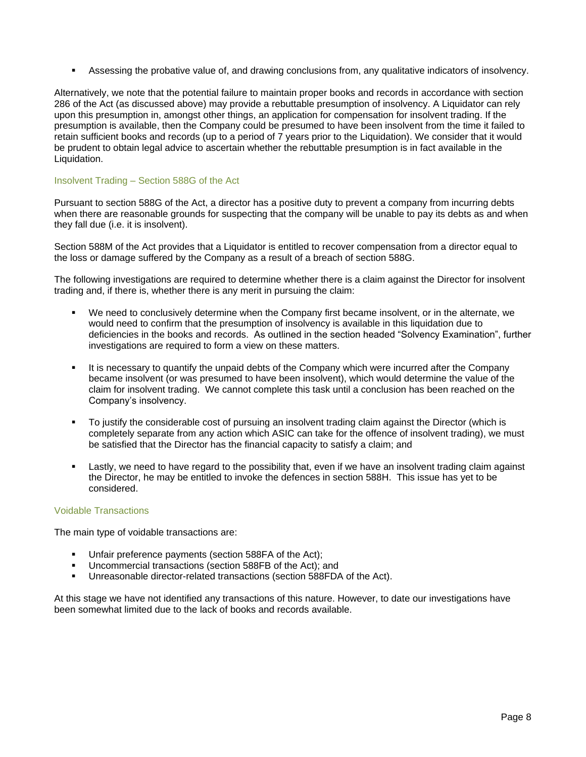▪ Assessing the probative value of, and drawing conclusions from, any qualitative indicators of insolvency.

Alternatively, we note that the potential failure to maintain proper books and records in accordance with section 286 of the Act (as discussed above) may provide a rebuttable presumption of insolvency. A Liquidator can rely upon this presumption in, amongst other things, an application for compensation for insolvent trading. If the presumption is available, then the Company could be presumed to have been insolvent from the time it failed to retain sufficient books and records (up to a period of 7 years prior to the Liquidation). We consider that it would be prudent to obtain legal advice to ascertain whether the rebuttable presumption is in fact available in the Liquidation.

#### Insolvent Trading – Section 588G of the Act

Pursuant to section 588G of the Act, a director has a positive duty to prevent a company from incurring debts when there are reasonable grounds for suspecting that the company will be unable to pay its debts as and when they fall due (i.e. it is insolvent).

Section 588M of the Act provides that a Liquidator is entitled to recover compensation from a director equal to the loss or damage suffered by the Company as a result of a breach of section 588G.

The following investigations are required to determine whether there is a claim against the Director for insolvent trading and, if there is, whether there is any merit in pursuing the claim:

- We need to conclusively determine when the Company first became insolvent, or in the alternate, we would need to confirm that the presumption of insolvency is available in this liquidation due to deficiencies in the books and records. As outlined in the section headed "Solvency Examination", further investigations are required to form a view on these matters.
- It is necessary to quantify the unpaid debts of the Company which were incurred after the Company became insolvent (or was presumed to have been insolvent), which would determine the value of the claim for insolvent trading. We cannot complete this task until a conclusion has been reached on the Company's insolvency.
- To justify the considerable cost of pursuing an insolvent trading claim against the Director (which is completely separate from any action which ASIC can take for the offence of insolvent trading), we must be satisfied that the Director has the financial capacity to satisfy a claim; and
- Lastly, we need to have regard to the possibility that, even if we have an insolvent trading claim against the Director, he may be entitled to invoke the defences in section 588H. This issue has yet to be considered.

#### Voidable Transactions

The main type of voidable transactions are:

- **■** Unfair preference payments (section 588FA of the Act);
- Uncommercial transactions (section 588FB of the Act); and
- Unreasonable director-related transactions (section 588FDA of the Act).

At this stage we have not identified any transactions of this nature. However, to date our investigations have been somewhat limited due to the lack of books and records available.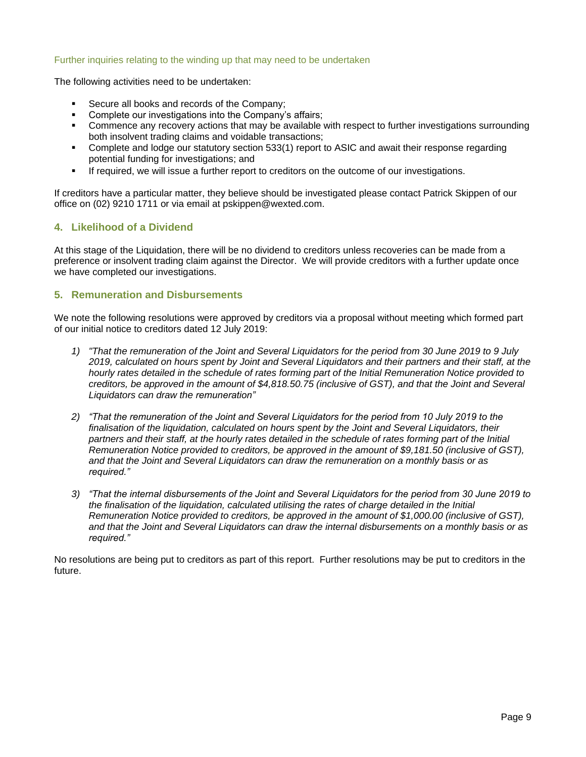#### Further inquiries relating to the winding up that may need to be undertaken

The following activities need to be undertaken:

- Secure all books and records of the Company:
- Complete our investigations into the Company's affairs;
- Commence any recovery actions that may be available with respect to further investigations surrounding both insolvent trading claims and voidable transactions;
- Complete and lodge our statutory section 533(1) report to ASIC and await their response regarding potential funding for investigations; and
- **EXECT** If required, we will issue a further report to creditors on the outcome of our investigations.

If creditors have a particular matter, they believe should be investigated please contact Patrick Skippen of our office on (02) 9210 1711 or via email at pskippen@wexted.com.

# <span id="page-8-0"></span>**4. Likelihood of a Dividend**

At this stage of the Liquidation, there will be no dividend to creditors unless recoveries can be made from a preference or insolvent trading claim against the Director. We will provide creditors with a further update once we have completed our investigations.

# <span id="page-8-1"></span>**5. Remuneration and Disbursements**

We note the following resolutions were approved by creditors via a proposal without meeting which formed part of our initial notice to creditors dated 12 July 2019:

- *1) "That the remuneration of the Joint and Several Liquidators for the period from 30 June 2019 to 9 July 2019, calculated on hours spent by Joint and Several Liquidators and their partners and their staff, at the hourly rates detailed in the schedule of rates forming part of the Initial Remuneration Notice provided to creditors, be approved in the amount of \$4,818.50.75 (inclusive of GST), and that the Joint and Several Liquidators can draw the remuneration"*
- *2) "That the remuneration of the Joint and Several Liquidators for the period from 10 July 2019 to the finalisation of the liquidation, calculated on hours spent by the Joint and Several Liquidators, their partners and their staff, at the hourly rates detailed in the schedule of rates forming part of the Initial Remuneration Notice provided to creditors, be approved in the amount of \$9,181.50 (inclusive of GST), and that the Joint and Several Liquidators can draw the remuneration on a monthly basis or as required."*
- *3) "That the internal disbursements of the Joint and Several Liquidators for the period from 30 June 2019 to the finalisation of the liquidation, calculated utilising the rates of charge detailed in the Initial Remuneration Notice provided to creditors, be approved in the amount of \$1,000.00 (inclusive of GST), and that the Joint and Several Liquidators can draw the internal disbursements on a monthly basis or as required."*

No resolutions are being put to creditors as part of this report. Further resolutions may be put to creditors in the future.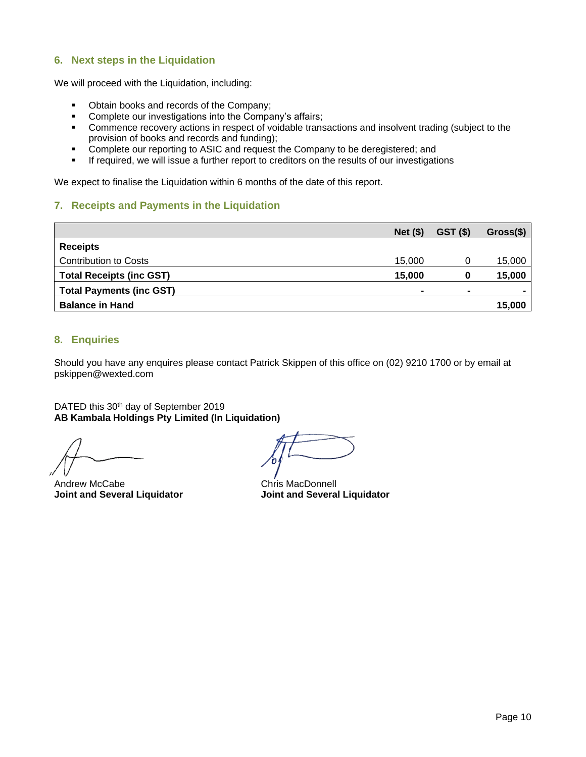# <span id="page-9-0"></span>**6. Next steps in the Liquidation**

We will proceed with the Liquidation, including:

- Obtain books and records of the Company;
- Complete our investigations into the Company's affairs;
- Commence recovery actions in respect of voidable transactions and insolvent trading (subject to the provision of books and records and funding);
- Complete our reporting to ASIC and request the Company to be deregistered; and<br>■ If required, we will issue a further report to creditors on the results of our investigati
- If required, we will issue a further report to creditors on the results of our investigations

<span id="page-9-1"></span>We expect to finalise the Liquidation within 6 months of the date of this report.

# **7. Receipts and Payments in the Liquidation**

|                                 | $Net($ \$)     | GST (\$)       | $Gross(\$)$    |
|---------------------------------|----------------|----------------|----------------|
| <b>Receipts</b>                 |                |                |                |
| <b>Contribution to Costs</b>    | 15,000         |                | 15,000         |
| <b>Total Receipts (inc GST)</b> | 15,000         | 0              | 15,000         |
| <b>Total Payments (inc GST)</b> | $\blacksquare$ | $\blacksquare$ | $\blacksquare$ |
| <b>Balance in Hand</b>          |                |                | 15,000         |

# <span id="page-9-2"></span>**8. Enquiries**

Should you have any enquires please contact Patrick Skippen of this office on (02) 9210 1700 or by email at pskippen@wexted.com

DATED this 30<sup>th</sup> day of September 2019 **AB Kambala Holdings Pty Limited (In Liquidation)**

Andrew McCabe **Chris MacDonnell Joint and Several Liquidator Joint and Several Liquidator**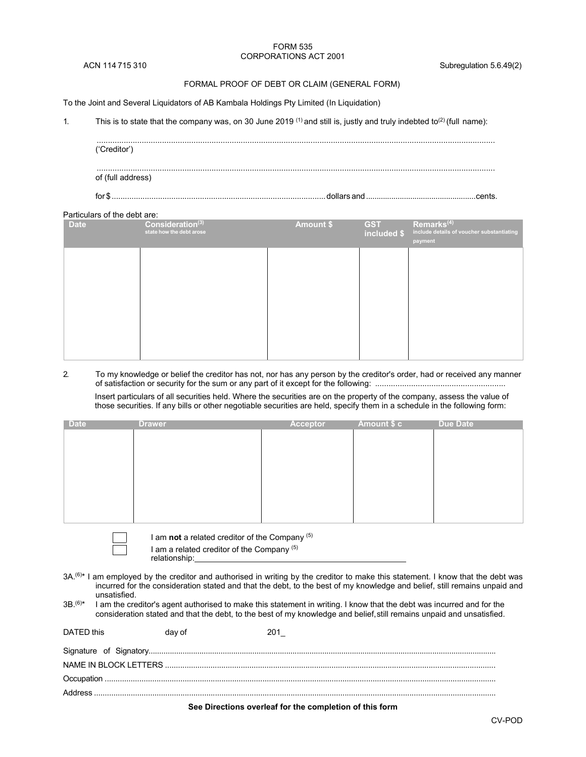#### FORM 535 CORPORATIONS ACT 2001

#### FORMAL PROOF OF DEBT OR CLAIM (GENERAL FORM)

To the Joint and Several Liquidators of AB Kambala Holdings Pty Limited (In Liquidation)

1. This is to state that the company was, on 30 June 2019  $(1)$  and still is, justly and truly indebted to<sup>(2)</sup> (full name):

| ('Creditor')      |  |
|-------------------|--|
| of (full address) |  |
|                   |  |

#### Particulars of the debt are:

| <b>Date</b> | Consideration <sup>(3)</sup><br>state how the debt arose | <b>Amount \$</b> | <b>GST</b><br>included \$ | Remarks <sup>(4)</sup><br>include details of voucher substantiating<br>payment |
|-------------|----------------------------------------------------------|------------------|---------------------------|--------------------------------------------------------------------------------|
|             |                                                          |                  |                           |                                                                                |
|             |                                                          |                  |                           |                                                                                |
|             |                                                          |                  |                           |                                                                                |
|             |                                                          |                  |                           |                                                                                |

2. To my knowledge or belief the creditor has not, nor has any person by the creditor's order, had or received any manner of satisfaction or security for the sum or any part of it except for the following: ..........................................................

Insert particulars of all securities held. Where the securities are on the property of the company, assess the value of those securities. If any bills or other negotiable securities are held, specify them in a schedule in the following form:

| <b>Drawer</b> | Acceptor | <b>Due Date</b> |
|---------------|----------|-----------------|
|               |          |                 |
|               |          |                 |
|               |          |                 |
|               |          |                 |
|               |          |                 |
|               |          |                 |
|               |          |                 |
|               |          |                 |
|               |          | Amount \$ c     |

I am **not** a related creditor of the Company (5)

I am a related creditor of the Company<sup>(5)</sup> relationship:

3A.<sup>(6)\*</sup> I am employed by the creditor and authorised in writing by the creditor to make this statement. I know that the debt was incurred for the consideration stated and that the debt, to the best of my knowledge and belief, still remains unpaid and unsatisfied.

 $3B^{(6)*}$  I am the creditor's agent authorised to make this statement in writing. I know that the debt was incurred and for the consideration stated and that the debt, to the best of my knowledge and belief, still remains unpaid and unsatisfied.

| DATED this | day of |  |
|------------|--------|--|
|            |        |  |
|            |        |  |
|            |        |  |
|            |        |  |
|            |        |  |

**See Directions overleaf for the completion of this form**